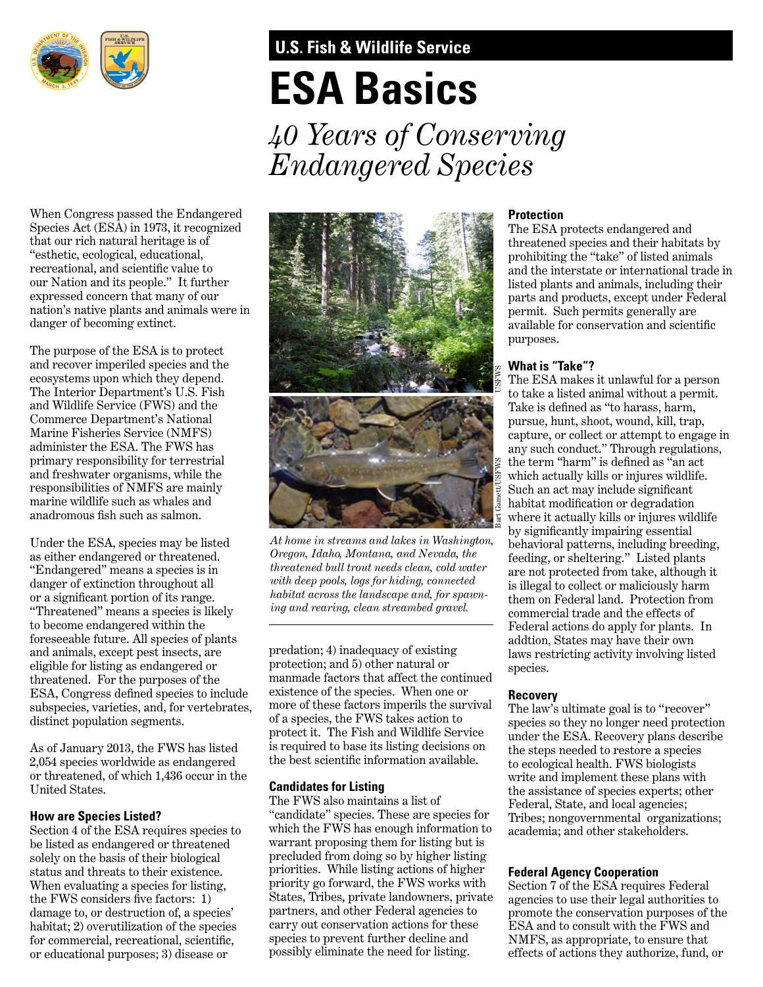

# **U.S. Fish & Wildlife Service**

# **ESA Basics**

*40 Years of Conserving Endangered Species*

When Congress passed the Endangered Species Act (ESA) in 1973, it recognized that our rich natural heritage is of "esthetic, ecological, educational, recreational, and scientific value to our Nation and its people." It further expressed concern that many of our nation's native plants and animals were in danger of becoming extinct.

The purpose of the ESA is to protect and recover imperiled species and the ecosystems upon which they depend. The Interior Department's U.S. Fish and Wildlife Service (FWS) and the Commerce Department's National Marine Fisheries Service (NMFS) administer the ESA. The FWS has primary responsibility for terrestrial and freshwater organisms, while the responsibilities of NMFS are mainly marine wildlife such as whales and anadromous fish such as salmon.

Under the ESA, species may be listed as either endangered or threatened. "Endangered" means a species is in danger of extinction throughout all or a significant portion of its range. "Threatened" means a species is likely to become endangered within the foreseeable future. All species of plants and animals, except pest insects, are eligible for listing as endangered or threatened. For the purposes of the ESA, Congress defined species to include subspecies, varieties, and, for vertebrates, distinct population segments.

As of January 2013, the FWS has listed 2,054 species worldwide as endangered or threatened, of which 1,436 occur in the United States.

# **How are Species Listed?**

Section 4 of the ESA requires species to be listed as endangered or threatened solely on the basis of their biological status and threats to their existence. When evaluating a species for listing, the FWS considers five factors: 1) damage to, or destruction of, a species' habitat; 2) overutilization of the species for commercial, recreational, scientific, or educational purposes; 3) disease or



*At home in streams and lakes in Washington, Oregon, Idaho, Montana, and Nevada, the threatened bull trout needs clean, cold water with deep pools, logs for hiding, connected habitat across the landscape and, for spawning and rearing, clean streambed gravel.*

predation; 4) inadequacy of existing protection; and 5) other natural or manmade factors that affect the continued existence of the species. When one or more of these factors imperils the survival of a species, the FWS takes action to protect it. The Fish and Wildlife Service is required to base its listing decisions on the best scientific information available.

# **Candidates for Listing**

The FWS also maintains a list of "candidate" species. These are species for which the FWS has enough information to warrant proposing them for listing but is precluded from doing so by higher listing priorities. While listing actions of higher priority go forward, the FWS works with States, Tribes, private landowners, private partners, and other Federal agencies to carry out conservation actions for these species to prevent further decline and possibly eliminate the need for listing.

#### **Protection**

The ESA protects endangered and threatened species and their habitats by prohibiting the "take" of listed animals and the interstate or international trade in listed plants and animals, including their parts and products, except under Federal permit. Such permits generally are available for conservation and scientific purposes.

# **What is "Take"?**

The ESA makes it unlawful for a person to take a listed animal without a permit. Take is defined as "to harass, harm, pursue, hunt, shoot, wound, kill, trap, capture, or collect or attempt to engage in any such conduct." Through regulations, the term "harm" is defined as "an act which actually kills or injures wildlife. Such an act may include significant habitat modification or degradation where it actually kills or injures wildlife by significantly impairing essential behavioral patterns, including breeding, feeding, or sheltering." Listed plants are not protected from take, although it is illegal to collect or maliciously harm them on Federal land. Protection from commercial trade and the effects of Federal actions do apply for plants. In addtion, States may have their own laws restricting activity involving listed species.

#### **Recovery**

The law's ultimate goal is to "recover" species so they no longer need protection under the ESA. Recovery plans describe the steps needed to restore a species to ecological health. FWS biologists write and implement these plans with the assistance of species experts; other Federal, State, and local agencies; Tribes; nongovernmental organizations; academia; and other stakeholders.

# **Federal Agency Cooperation**

Section 7 of the ESA requires Federal agencies to use their legal authorities to promote the conservation purposes of the ESA and to consult with the FWS and NMFS, as appropriate, to ensure that effects of actions they authorize, fund, or